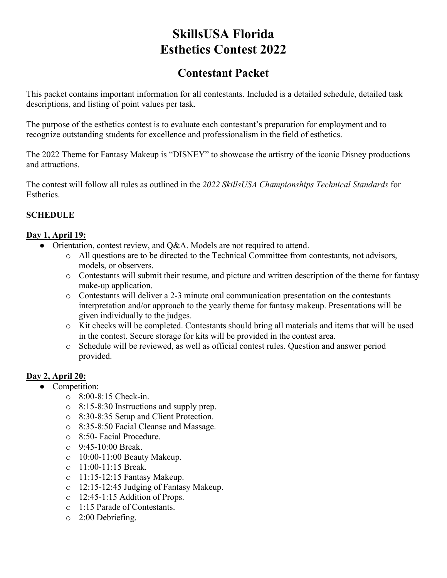# **SkillsUSA Florida Esthetics Contest 2022**

# **Contestant Packet**

This packet contains important information for all contestants. Included is a detailed schedule, detailed task descriptions, and listing of point values per task.

The purpose of the esthetics contest is to evaluate each contestant's preparation for employment and to recognize outstanding students for excellence and professionalism in the field of esthetics.

The 2022 Theme for Fantasy Makeup is "DISNEY" to showcase the artistry of the iconic Disney productions and attractions.

The contest will follow all rules as outlined in the *2022 SkillsUSA Championships Technical Standards* for Esthetics.

## **SCHEDULE**

#### **Day 1, April 19:**

- Orientation, contest review, and O&A. Models are not required to attend.
	- o All questions are to be directed to the Technical Committee from contestants, not advisors, models, or observers.
	- o Contestants will submit their resume, and picture and written description of the theme for fantasy make-up application.
	- o Contestants will deliver a 2-3 minute oral communication presentation on the contestants interpretation and/or approach to the yearly theme for fantasy makeup. Presentations will be given individually to the judges.
	- o Kit checks will be completed. Contestants should bring all materials and items that will be used in the contest. Secure storage for kits will be provided in the contest area.
	- o Schedule will be reviewed, as well as official contest rules. Question and answer period provided.

## **Day 2, April 20:**

- Competition:
	- o 8:00-8:15 Check-in.
	- o 8:15-8:30 Instructions and supply prep.
	- o 8:30-8:35 Setup and Client Protection.
	- o 8:35-8:50 Facial Cleanse and Massage.
	- o 8:50- Facial Procedure.
	- $\circ$  9:45-10:00 Break.
	- o 10:00-11:00 Beauty Makeup.
	- o 11:00-11:15 Break.
	- o 11:15-12:15 Fantasy Makeup.
	- o 12:15-12:45 Judging of Fantasy Makeup.
	- o 12:45-1:15 Addition of Props.
	- o 1:15 Parade of Contestants.
	- o 2:00 Debriefing.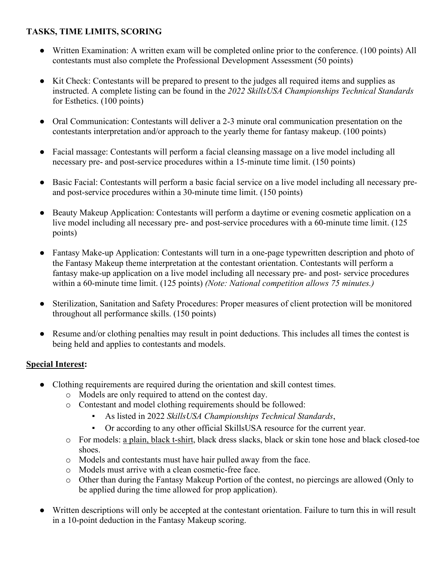# **TASKS, TIME LIMITS, SCORING**

- Written Examination: A written exam will be completed online prior to the conference. (100 points) All contestants must also complete the Professional Development Assessment (50 points)
- Kit Check: Contestants will be prepared to present to the judges all required items and supplies as instructed. A complete listing can be found in the *2022 SkillsUSA Championships Technical Standards*  for Esthetics. (100 points)
- Oral Communication: Contestants will deliver a 2-3 minute oral communication presentation on the contestants interpretation and/or approach to the yearly theme for fantasy makeup. (100 points)
- Facial massage: Contestants will perform a facial cleansing massage on a live model including all necessary pre- and post-service procedures within a 15-minute time limit. (150 points)
- Basic Facial: Contestants will perform a basic facial service on a live model including all necessary preand post-service procedures within a 30-minute time limit. (150 points)
- Beauty Makeup Application: Contestants will perform a daytime or evening cosmetic application on a live model including all necessary pre- and post-service procedures with a 60-minute time limit. (125) points)
- Fantasy Make-up Application: Contestants will turn in a one-page typewritten description and photo of the Fantasy Makeup theme interpretation at the contestant orientation. Contestants will perform a fantasy make-up application on a live model including all necessary pre- and post- service procedures within a 60-minute time limit. (125 points) *(Note: National competition allows 75 minutes.)*
- Sterilization, Sanitation and Safety Procedures: Proper measures of client protection will be monitored throughout all performance skills. (150 points)
- Resume and/or clothing penalties may result in point deductions. This includes all times the contest is being held and applies to contestants and models.

## **Special Interest:**

- Clothing requirements are required during the orientation and skill contest times.
	- o Models are only required to attend on the contest day.
	- o Contestant and model clothing requirements should be followed:
		- As listed in 2022 *SkillsUSA Championships Technical Standards*,
		- Or according to any other official SkillsUSA resource for the current year.
	- o For models: a plain, black t-shirt, black dress slacks, black or skin tone hose and black closed-toe shoes.
	- o Models and contestants must have hair pulled away from the face.
	- o Models must arrive with a clean cosmetic-free face.
	- o Other than during the Fantasy Makeup Portion of the contest, no piercings are allowed (Only to be applied during the time allowed for prop application).
- Written descriptions will only be accepted at the contestant orientation. Failure to turn this in will result in a 10-point deduction in the Fantasy Makeup scoring.